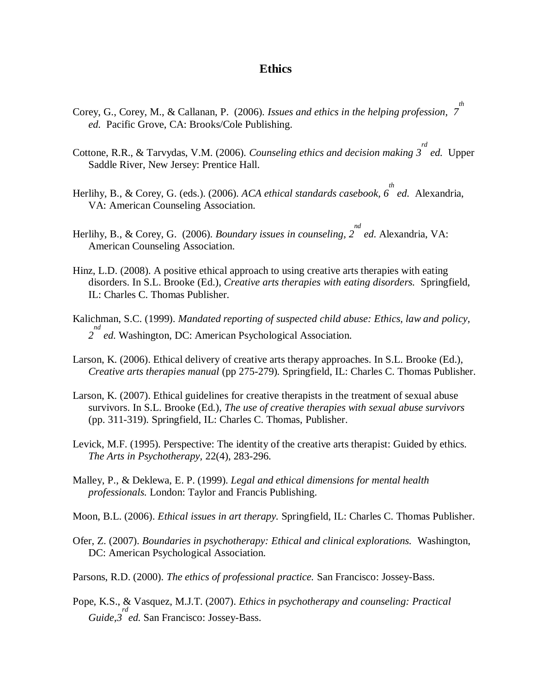## **Ethics**

- Corey, G., Corey, M., & Callanan, P. (2006). *Issues and ethics in the helping profession, 7 th ed.* Pacific Grove, CA: Brooks/Cole Publishing.
- Cottone, R.R., & Tarvydas, V.M. (2006). *Counseling ethics and decision making 3 rd ed.* Upper Saddle River, New Jersey: Prentice Hall.
- Herlihy, B., & Corey, G. (eds.). (2006). *ACA ethical standards casebook, 6 th ed.* Alexandria, VA: American Counseling Association.
- Herlihy, B., & Corey, G. (2006). *Boundary issues in counseling, 2 nd ed*. Alexandria, VA: American Counseling Association.
- Hinz, L.D. (2008). A positive ethical approach to using creative arts therapies with eating disorders. In S.L. Brooke (Ed.), *Creative arts therapies with eating disorders.* Springfield, IL: Charles C. Thomas Publisher.
- Kalichman, S.C. (1999). *Mandated reporting of suspected child abuse: Ethics, law and policy,*  <sup>nd</sup> ed. Washington, DC: American Psychological Association.
- Larson, K. (2006). Ethical delivery of creative arts therapy approaches. In S.L. Brooke (Ed.), *Creative arts therapies manual* (pp 275-279)*.* Springfield, IL: Charles C. Thomas Publisher.
- Larson, K. (2007). Ethical guidelines for creative therapists in the treatment of sexual abuse survivors. In S.L. Brooke (Ed.), *The use of creative therapies with sexual abuse survivors* (pp. 311-319). Springfield, IL: Charles C. Thomas, Publisher.
- Levick, M.F. (1995). Perspective: The identity of the creative arts therapist: Guided by ethics. *The Arts in Psychotherapy,* 22(4), 283-296.
- Malley, P., & Deklewa, E. P. (1999). *Legal and ethical dimensions for mental health professionals.* London: Taylor and Francis Publishing.
- Moon, B.L. (2006). *Ethical issues in art therapy.* Springfield, IL: Charles C. Thomas Publisher.
- Ofer, Z. (2007). *Boundaries in psychotherapy: Ethical and clinical explorations.* Washington, DC: American Psychological Association.
- Parsons, R.D. (2000). *The ethics of professional practice.* San Francisco: Jossey-Bass.
- Pope, K.S., & Vasquez, M.J.T. (2007). *Ethics in psychotherapy and counseling: Practical Guide,3 rd ed.* San Francisco: Jossey-Bass.